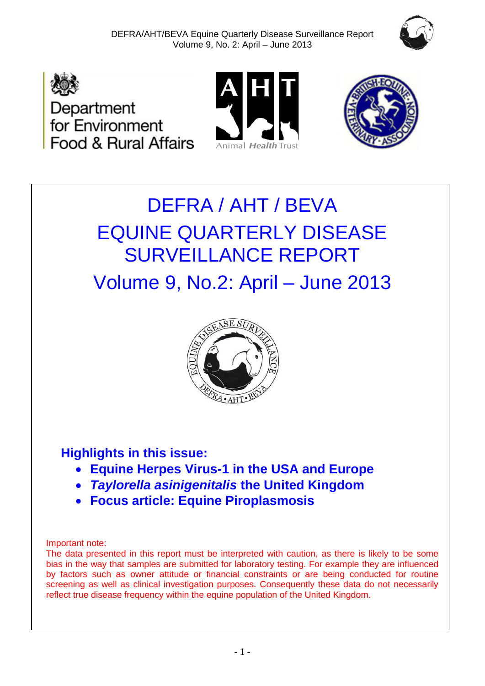







# DEFRA / AHT / BEVA EQUINE QUARTERLY DISEASE SURVEILLANCE REPORT

Volume 9, No.2: April – June 2013



# **Highlights in this issue:**

- **Equine Herpes Virus-1 in the USA and Europe**
- *Taylorella asinigenitalis* **the United Kingdom**
- **Focus article: Equine Piroplasmosis**

# Important note:

The data presented in this report must be interpreted with caution, as there is likely to be some bias in the way that samples are submitted for laboratory testing. For example they are influenced by factors such as owner attitude or financial constraints or are being conducted for routine screening as well as clinical investigation purposes. Consequently these data do not necessarily reflect true disease frequency within the equine population of the United Kingdom.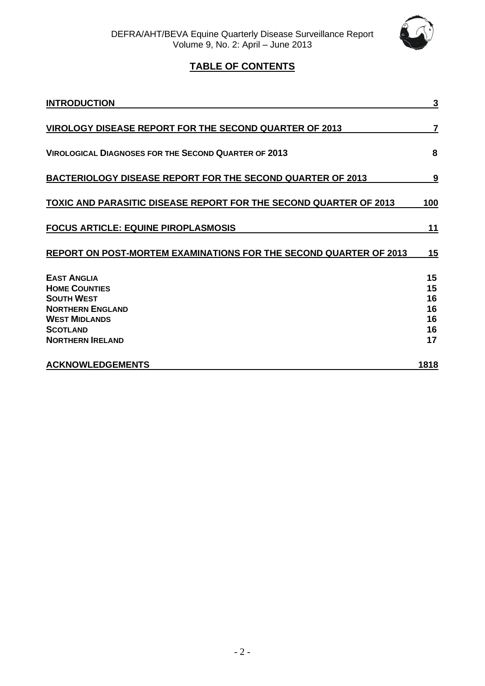

# **TABLE OF CONTENTS**

| <b>INTRODUCTION</b>                                                                                                                                              | 3                                      |
|------------------------------------------------------------------------------------------------------------------------------------------------------------------|----------------------------------------|
| VIROLOGY DISEASE REPORT FOR THE SECOND QUARTER OF 2013                                                                                                           | 7                                      |
| <b>VIROLOGICAL DIAGNOSES FOR THE SECOND QUARTER OF 2013</b>                                                                                                      | 8                                      |
| <b>BACTERIOLOGY DISEASE REPORT FOR THE SECOND QUARTER OF 2013</b>                                                                                                | 9                                      |
| <b>TOXIC AND PARASITIC DISEASE REPORT FOR THE SECOND QUARTER OF 2013</b>                                                                                         | 100                                    |
| <b>FOCUS ARTICLE: EQUINE PIROPLASMOSIS</b>                                                                                                                       | 11                                     |
| REPORT ON POST-MORTEM EXAMINATIONS FOR THE SECOND QUARTER OF 2013                                                                                                | 15                                     |
| <b>EAST ANGLIA</b><br><b>HOME COUNTIES</b><br><b>SOUTH WEST</b><br><b>NORTHERN ENGLAND</b><br><b>WEST MIDLANDS</b><br><b>SCOTLAND</b><br><b>NORTHERN IRELAND</b> | 15<br>15<br>16<br>16<br>16<br>16<br>17 |
| <b>ACKNOWLEDGEMENTS</b>                                                                                                                                          | 1818                                   |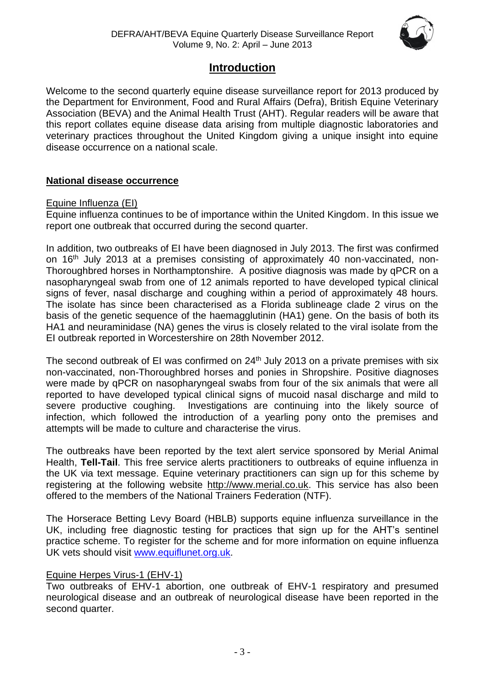

# **Introduction**

Welcome to the second quarterly equine disease surveillance report for 2013 produced by the Department for Environment, Food and Rural Affairs (Defra), British Equine Veterinary Association (BEVA) and the Animal Health Trust (AHT). Regular readers will be aware that this report collates equine disease data arising from multiple diagnostic laboratories and veterinary practices throughout the United Kingdom giving a unique insight into equine disease occurrence on a national scale.

## **National disease occurrence**

#### Equine Influenza (EI)

Equine influenza continues to be of importance within the United Kingdom. In this issue we report one outbreak that occurred during the second quarter.

In addition, two outbreaks of EI have been diagnosed in July 2013. The first was confirmed on 16th July 2013 at a premises consisting of approximately 40 non-vaccinated, non-Thoroughbred horses in Northamptonshire. A positive diagnosis was made by qPCR on a nasopharyngeal swab from one of 12 animals reported to have developed typical clinical signs of fever, nasal discharge and coughing within a period of approximately 48 hours. The isolate has since been characterised as a Florida sublineage clade 2 virus on the basis of the genetic sequence of the haemagglutinin (HA1) gene. On the basis of both its HA1 and neuraminidase (NA) genes the virus is closely related to the viral isolate from the EI outbreak reported in Worcestershire on 28th November 2012.

The second outbreak of EI was confirmed on 24<sup>th</sup> July 2013 on a private premises with six non-vaccinated, non-Thoroughbred horses and ponies in Shropshire. Positive diagnoses were made by qPCR on nasopharyngeal swabs from four of the six animals that were all reported to have developed typical clinical signs of mucoid nasal discharge and mild to severe productive coughing. Investigations are continuing into the likely source of infection, which followed the introduction of a yearling pony onto the premises and attempts will be made to culture and characterise the virus.

The outbreaks have been reported by the text alert service sponsored by Merial Animal Health, **Tell-Tail**. This free service alerts practitioners to outbreaks of equine influenza in the UK via text message. Equine veterinary practitioners can sign up for this scheme by registering at the following website [http://www.merial.co.uk.](http://www.merial.co.uk/) This service has also been offered to the members of the National Trainers Federation (NTF).

The Horserace Betting Levy Board (HBLB) supports equine influenza surveillance in the UK, including free diagnostic testing for practices that sign up for the AHT's sentinel practice scheme. To register for the scheme and for more information on equine influenza UK vets should visit [www.equiflunet.org.uk.](http://www.equiflunet.org.uk/)

#### Equine Herpes Virus-1 (EHV-1)

Two outbreaks of EHV-1 abortion, one outbreak of EHV-1 respiratory and presumed neurological disease and an outbreak of neurological disease have been reported in the second quarter.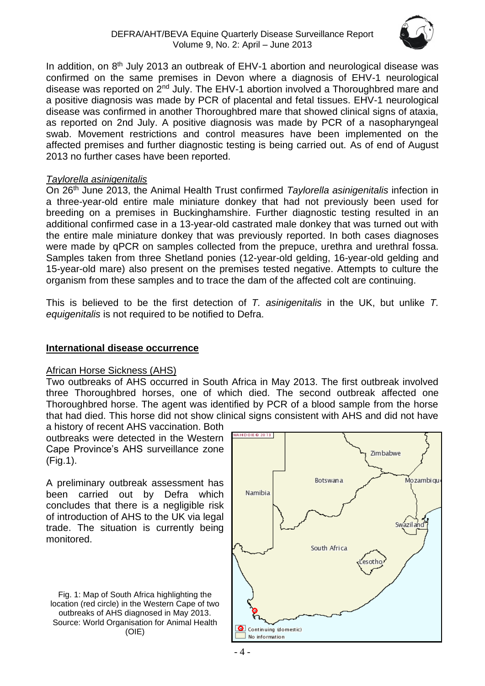

In addition, on  $8<sup>th</sup>$  July 2013 an outbreak of EHV-1 abortion and neurological disease was confirmed on the same premises in Devon where a diagnosis of EHV-1 neurological disease was reported on 2<sup>nd</sup> July. The EHV-1 abortion involved a Thoroughbred mare and a positive diagnosis was made by PCR of placental and fetal tissues. EHV-1 neurological disease was confirmed in another Thoroughbred mare that showed clinical signs of ataxia, as reported on 2nd July. A positive diagnosis was made by PCR of a nasopharyngeal swab. Movement restrictions and control measures have been implemented on the affected premises and further diagnostic testing is being carried out. As of end of August 2013 no further cases have been reported.

#### *Taylorella asinigenitalis*

On 26th June 2013, the Animal Health Trust confirmed *Taylorella asinigenitalis* infection in a three-year-old entire male miniature donkey that had not previously been used for breeding on a premises in Buckinghamshire. Further diagnostic testing resulted in an additional confirmed case in a 13-year-old castrated male donkey that was turned out with the entire male miniature donkey that was previously reported. In both cases diagnoses were made by qPCR on samples collected from the prepuce, urethra and urethral fossa. Samples taken from three Shetland ponies (12-year-old gelding, 16-year-old gelding and 15-year-old mare) also present on the premises tested negative. Attempts to culture the organism from these samples and to trace the dam of the affected colt are continuing.

This is believed to be the first detection of *T. asinigenitalis* in the UK, but unlike *T. equigenitalis* is not required to be notified to Defra.

## **International disease occurrence**

#### African Horse Sickness (AHS)

Two outbreaks of AHS occurred in South Africa in May 2013. The first outbreak involved three Thoroughbred horses, one of which died. The second outbreak affected one Thoroughbred horse. The agent was identified by PCR of a blood sample from the horse that had died. This horse did not show clinical signs consistent with AHS and did not have

a history of recent AHS vaccination. Both outbreaks were detected in the Western Cape Province's AHS surveillance zone (Fig.1).

A preliminary outbreak assessment has been carried out by Defra which concludes that there is a negligible risk of introduction of AHS to the UK via legal trade. The situation is currently being monitored.

Fig. 1: Map of South Africa highlighting the location (red circle) in the Western Cape of two outbreaks of AHS diagnosed in May 2013. Source: World Organisation for Animal Health (OIE)

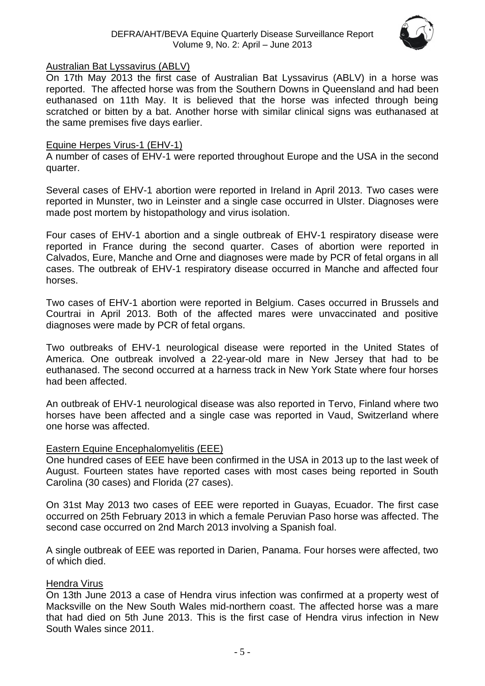

#### Australian Bat Lyssavirus (ABLV)

On 17th May 2013 the first case of Australian Bat Lyssavirus (ABLV) in a horse was reported. The affected horse was from the Southern Downs in Queensland and had been euthanased on 11th May. It is believed that the horse was infected through being scratched or bitten by a bat. Another horse with similar clinical signs was euthanased at the same premises five days earlier.

#### Equine Herpes Virus-1 (EHV-1)

A number of cases of EHV-1 were reported throughout Europe and the USA in the second quarter.

Several cases of EHV-1 abortion were reported in Ireland in April 2013. Two cases were reported in Munster, two in Leinster and a single case occurred in Ulster. Diagnoses were made post mortem by histopathology and virus isolation.

Four cases of EHV-1 abortion and a single outbreak of EHV-1 respiratory disease were reported in France during the second quarter. Cases of abortion were reported in Calvados, Eure, Manche and Orne and diagnoses were made by PCR of fetal organs in all cases. The outbreak of EHV-1 respiratory disease occurred in Manche and affected four horses.

Two cases of EHV-1 abortion were reported in Belgium. Cases occurred in Brussels and Courtrai in April 2013. Both of the affected mares were unvaccinated and positive diagnoses were made by PCR of fetal organs.

Two outbreaks of EHV-1 neurological disease were reported in the United States of America. One outbreak involved a 22-year-old mare in New Jersey that had to be euthanased. The second occurred at a harness track in New York State where four horses had been affected.

An outbreak of EHV-1 neurological disease was also reported in Tervo, Finland where two horses have been affected and a single case was reported in Vaud, Switzerland where one horse was affected.

#### Eastern Equine Encephalomyelitis (EEE)

One hundred cases of EEE have been confirmed in the USA in 2013 up to the last week of August. Fourteen states have reported cases with most cases being reported in South Carolina (30 cases) and Florida (27 cases).

On 31st May 2013 two cases of EEE were reported in Guayas, Ecuador. The first case occurred on 25th February 2013 in which a female Peruvian Paso horse was affected. The second case occurred on 2nd March 2013 involving a Spanish foal.

A single outbreak of EEE was reported in Darien, Panama. Four horses were affected, two of which died.

#### Hendra Virus

On 13th June 2013 a case of Hendra virus infection was confirmed at a property west of Macksville on the New South Wales mid-northern coast. The affected horse was a mare that had died on 5th June 2013. This is the first case of Hendra virus infection in New South Wales since 2011.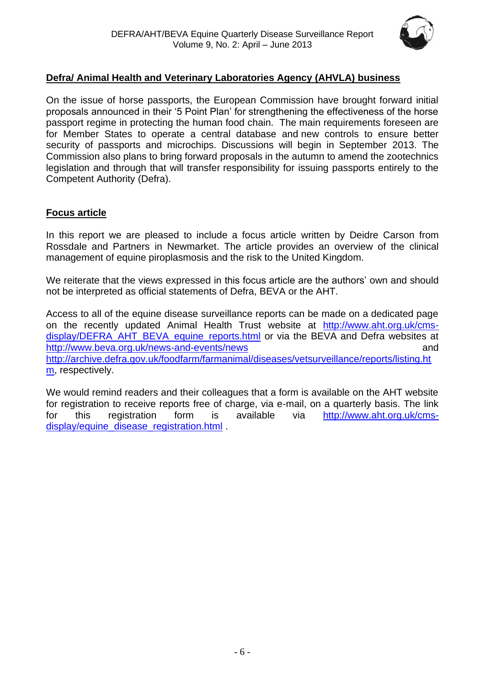

# **Defra/ Animal Health and Veterinary Laboratories Agency (AHVLA) business**

On the issue of horse passports, the European Commission have brought forward initial proposals announced in their '5 Point Plan' for strengthening the effectiveness of the horse passport regime in protecting the human food chain. The main requirements foreseen are for Member States to operate a central database and new controls to ensure better security of passports and microchips. Discussions will begin in September 2013. The Commission also plans to bring forward proposals in the autumn to amend the zootechnics legislation and through that will transfer responsibility for issuing passports entirely to the Competent Authority (Defra).

## **Focus article**

In this report we are pleased to include a focus article written by Deidre Carson from Rossdale and Partners in Newmarket. The article provides an overview of the clinical management of equine piroplasmosis and the risk to the United Kingdom.

We reiterate that the views expressed in this focus article are the authors' own and should not be interpreted as official statements of Defra, BEVA or the AHT.

Access to all of the equine disease surveillance reports can be made on a dedicated page on the recently updated Animal Health Trust website at [http://www.aht.org.uk/cms](http://www.aht.org.uk/cms-display/DEFRA_AHT_BEVA_equine_reports.html)[display/DEFRA\\_AHT\\_BEVA\\_equine\\_reports.html](http://www.aht.org.uk/cms-display/DEFRA_AHT_BEVA_equine_reports.html) or via the BEVA and Defra websites at <http://www.beva.org.uk/news-and-events/news> and [http://archive.defra.gov.uk/foodfarm/farmanimal/diseases/vetsurveillance/reports/listing.ht](http://archive.defra.gov.uk/foodfarm/farmanimal/diseases/vetsurveillance/reports/listing.htm) [m,](http://archive.defra.gov.uk/foodfarm/farmanimal/diseases/vetsurveillance/reports/listing.htm) respectively.

We would remind readers and their colleagues that a form is available on the AHT website for registration to receive reports free of charge, via e-mail, on a quarterly basis. The link for this registration form is available via [http://www.aht.org.uk/cms](http://www.aht.org.uk/cms-display/equine_disease_registration.html)[display/equine\\_disease\\_registration.html](http://www.aht.org.uk/cms-display/equine_disease_registration.html) .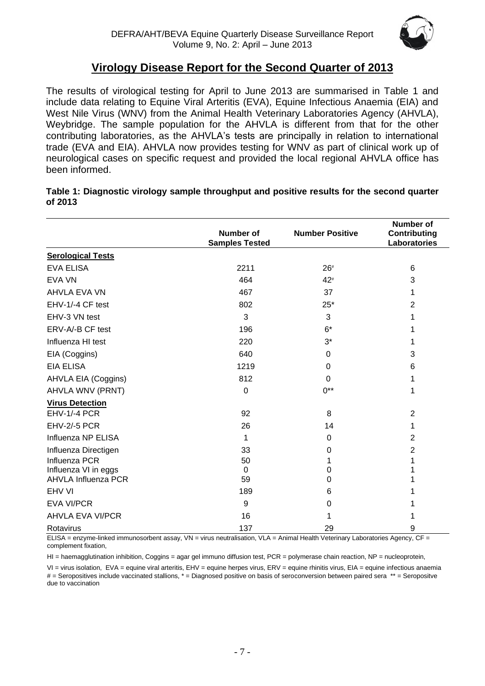

# **Virology Disease Report for the Second Quarter of 2013**

The results of virological testing for April to June 2013 are summarised in Table 1 and include data relating to Equine Viral Arteritis (EVA), Equine Infectious Anaemia (EIA) and West Nile Virus (WNV) from the Animal Health Veterinary Laboratories Agency (AHVLA), Weybridge. The sample population for the AHVLA is different from that for the other contributing laboratories, as the AHVLA's tests are principally in relation to international trade (EVA and EIA). AHVLA now provides testing for WNV as part of clinical work up of neurological cases on specific request and provided the local regional AHVLA office has been informed.

|         | Table 1: Diagnostic virology sample throughput and positive results for the second quarter |  |
|---------|--------------------------------------------------------------------------------------------|--|
| of 2013 |                                                                                            |  |

|                            | Number of             | <b>Number Positive</b> | <b>Number of</b><br><b>Contributing</b> |
|----------------------------|-----------------------|------------------------|-----------------------------------------|
|                            | <b>Samples Tested</b> |                        | Laboratories                            |
| <b>Serological Tests</b>   |                       |                        |                                         |
| <b>EVA ELISA</b>           | 2211                  | $26*$                  | 6                                       |
| <b>EVA VN</b>              | 464                   | 42#                    | 3                                       |
| AHVLA EVA VN               | 467                   | 37                     | 1                                       |
| EHV-1/-4 CF test           | 802                   | $25*$                  | $\overline{2}$                          |
| EHV-3 VN test              | 3                     | 3                      | 1                                       |
| ERV-A/-B CF test           | 196                   | $6*$                   | 1                                       |
| Influenza HI test          | 220                   | $3^*$                  | 1                                       |
| EIA (Coggins)              | 640                   | 0                      | 3                                       |
| <b>EIA ELISA</b>           | 1219                  | $\mathbf 0$            | 6                                       |
| AHVLA EIA (Coggins)        | 812                   | 0                      | 1                                       |
| AHVLA WNV (PRNT)           | 0                     | $0^{**}$               | 1                                       |
| <b>Virus Detection</b>     |                       |                        |                                         |
| <b>EHV-1/-4 PCR</b>        | 92                    | 8                      | $\overline{2}$                          |
| <b>EHV-2/-5 PCR</b>        | 26                    | 14                     | 1                                       |
| Influenza NP ELISA         | 1                     | $\Omega$               | $\overline{2}$                          |
| Influenza Directigen       | 33                    | 0                      | 2                                       |
| Influenza PCR              | 50                    | 1                      | 1                                       |
| Influenza VI in eggs       | $\Omega$              | 0                      | 1                                       |
| <b>AHVLA Influenza PCR</b> | 59                    | 0                      | 1                                       |
| EHV VI                     | 189                   | 6                      | 1                                       |
| <b>EVA VI/PCR</b>          | 9                     | 0                      |                                         |
| <b>AHVLA EVA VI/PCR</b>    | 16                    | 1                      | 1                                       |
| Rotavirus                  | 137                   | 29                     | 9                                       |

ELISA = enzyme-linked immunosorbent assay, VN = virus neutralisation, VLA = Animal Health Veterinary Laboratories Agency, CF = complement fixation,

HI = haemagglutination inhibition, Coggins = agar gel immuno diffusion test, PCR = polymerase chain reaction, NP = nucleoprotein,

<span id="page-6-0"></span>VI = virus isolation, EVA = equine viral arteritis, EHV = equine herpes virus, ERV = equine rhinitis virus, EIA = equine infectious anaemia # = Seropositives include vaccinated stallions, \* = Diagnosed positive on basis of seroconversion between paired sera \*\* = Seropositve due to vaccination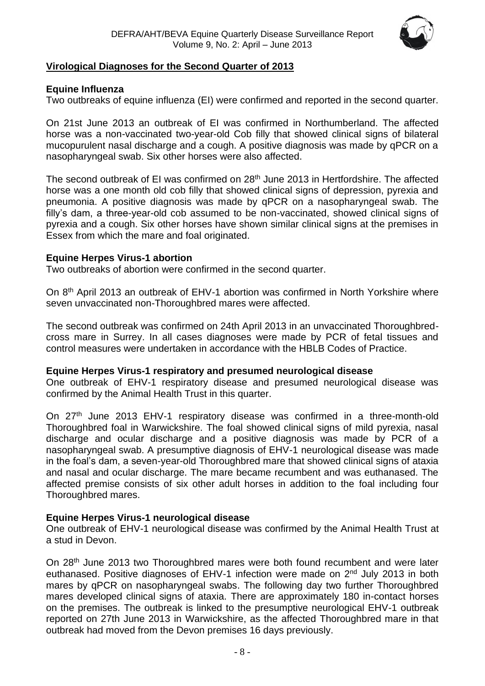

## **Virological Diagnoses for the Second Quarter of 2013**

#### **Equine Influenza**

Two outbreaks of equine influenza (EI) were confirmed and reported in the second quarter.

On 21st June 2013 an outbreak of EI was confirmed in Northumberland. The affected horse was a non-vaccinated two-year-old Cob filly that showed clinical signs of bilateral mucopurulent nasal discharge and a cough. A positive diagnosis was made by qPCR on a nasopharyngeal swab. Six other horses were also affected.

The second outbreak of EI was confirmed on 28<sup>th</sup> June 2013 in Hertfordshire. The affected horse was a one month old cob filly that showed clinical signs of depression, pyrexia and pneumonia. A positive diagnosis was made by qPCR on a nasopharyngeal swab. The filly's dam, a three-year-old cob assumed to be non-vaccinated, showed clinical signs of pyrexia and a cough. Six other horses have shown similar clinical signs at the premises in Essex from which the mare and foal originated.

#### **Equine Herpes Virus-1 abortion**

Two outbreaks of abortion were confirmed in the second quarter.

On 8<sup>th</sup> April 2013 an outbreak of EHV-1 abortion was confirmed in North Yorkshire where seven unvaccinated non-Thoroughbred mares were affected.

The second outbreak was confirmed on 24th April 2013 in an unvaccinated Thoroughbredcross mare in Surrey. In all cases diagnoses were made by PCR of fetal tissues and control measures were undertaken in accordance with the HBLB Codes of Practice.

#### **Equine Herpes Virus-1 respiratory and presumed neurological disease**

One outbreak of EHV-1 respiratory disease and presumed neurological disease was confirmed by the Animal Health Trust in this quarter.

On 27<sup>th</sup> June 2013 EHV-1 respiratory disease was confirmed in a three-month-old Thoroughbred foal in Warwickshire. The foal showed clinical signs of mild pyrexia, nasal discharge and ocular discharge and a positive diagnosis was made by PCR of a nasopharyngeal swab. A presumptive diagnosis of EHV-1 neurological disease was made in the foal's dam, a seven-year-old Thoroughbred mare that showed clinical signs of ataxia and nasal and ocular discharge. The mare became recumbent and was euthanased. The affected premise consists of six other adult horses in addition to the foal including four Thoroughbred mares.

#### **Equine Herpes Virus-1 neurological disease**

One outbreak of EHV-1 neurological disease was confirmed by the Animal Health Trust at a stud in Devon.

On 28<sup>th</sup> June 2013 two Thoroughbred mares were both found recumbent and were later euthanased. Positive diagnoses of EHV-1 infection were made on 2<sup>nd</sup> July 2013 in both mares by qPCR on nasopharyngeal swabs. The following day two further Thoroughbred mares developed clinical signs of ataxia. There are approximately 180 in-contact horses on the premises. The outbreak is linked to the presumptive neurological EHV-1 outbreak reported on 27th June 2013 in Warwickshire, as the affected Thoroughbred mare in that outbreak had moved from the Devon premises 16 days previously.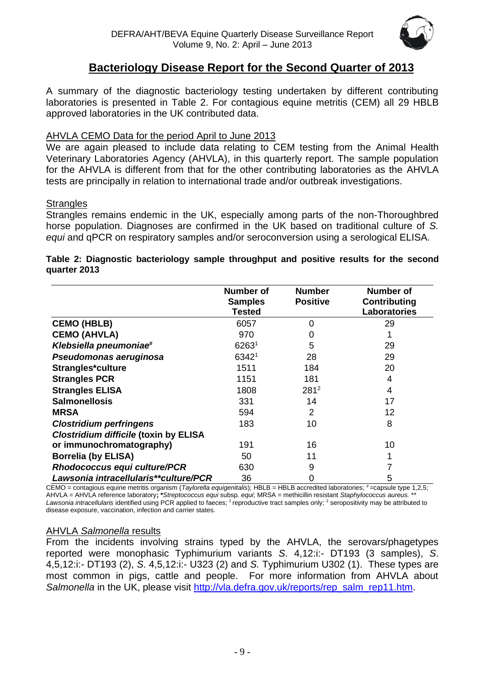

# **Bacteriology Disease Report for the Second Quarter of 2013**

A summary of the diagnostic bacteriology testing undertaken by different contributing laboratories is presented in Table 2. For contagious equine metritis (CEM) all 29 HBLB approved laboratories in the UK contributed data.

## AHVLA CEMO Data for the period April to June 2013

We are again pleased to include data relating to CEM testing from the Animal Health Veterinary Laboratories Agency (AHVLA), in this quarterly report. The sample population for the AHVLA is different from that for the other contributing laboratories as the AHVLA tests are principally in relation to international trade and/or outbreak investigations.

#### **Strangles**

Strangles remains endemic in the UK, especially among parts of the non-Thoroughbred horse population. Diagnoses are confirmed in the UK based on traditional culture of *S. equi* and qPCR on respiratory samples and/or seroconversion using a serological ELISA.

#### **Table 2: Diagnostic bacteriology sample throughput and positive results for the second quarter 2013**

|                                              | Number of<br><b>Samples</b><br><b>Tested</b> | <b>Number</b><br><b>Positive</b> | <b>Number of</b><br>Contributing<br>Laboratories |
|----------------------------------------------|----------------------------------------------|----------------------------------|--------------------------------------------------|
| <b>CEMO (HBLB)</b>                           | 6057                                         | 0                                | 29                                               |
| <b>CEMO (AHVLA)</b>                          | 970                                          | 0                                |                                                  |
| Klebsiella pneumoniae <sup>#</sup>           | 62631                                        | 5                                | 29                                               |
| Pseudomonas aeruginosa                       | 63421                                        | 28                               | 29                                               |
| Strangles*culture                            | 1511                                         | 184                              | 20                                               |
| <b>Strangles PCR</b>                         | 1151                                         | 181                              | 4                                                |
| <b>Strangles ELISA</b>                       | 1808                                         | $281^2$                          | 4                                                |
| <b>Salmonellosis</b>                         | 331                                          | 14                               | 17                                               |
| <b>MRSA</b>                                  | 594                                          | $\overline{2}$                   | 12                                               |
| <b>Clostridium perfringens</b>               | 183                                          | 10                               | 8                                                |
| <b>Clostridium difficile (toxin by ELISA</b> |                                              |                                  |                                                  |
| or immunochromatography)                     | 191                                          | 16                               | 10                                               |
| <b>Borrelia (by ELISA)</b>                   | 50                                           | 11                               |                                                  |
| Rhodococcus equi culture/PCR                 | 630                                          | 9                                |                                                  |
| Lawsonia intracellularis**culture/PCR        | 36                                           | 0                                | 5                                                |

CEMO = contagious equine metritis organism (*Taylorella equigenitalis*); HBLB = HBLB accredited laboratories; #=capsule type 1,2,5; AHVLA = AHVLA reference laboratory**; \****Streptococcus equi* subsp*. equi*; MRSA = methicillin resistant *Staphylococcus aureus.* \*\* Lawsonia intracellularis identified using PCR applied to faeces; <sup>1</sup> reproductive tract samples only; <sup>2</sup> seropositivity may be attributed to disease exposure, vaccination, infection and carrier states.

#### AHVLA *Salmonella* results

From the incidents involving strains typed by the AHVLA, the serovars/phagetypes reported were monophasic Typhimurium variants *S*. 4,12:i:- DT193 (3 samples), *S*. 4,5,12:i:- DT193 (2), *S*. 4,5,12:i:- U323 (2) and *S.* Typhimurium U302 (1). These types are most common in pigs, cattle and people. For more information from AHVLA about *Salmonella* in the UK, please visit [http://vla.defra.gov.uk/reports/rep\\_salm\\_rep11.htm.](http://vla.defra.gov.uk/reports/rep_salm_rep11.htm)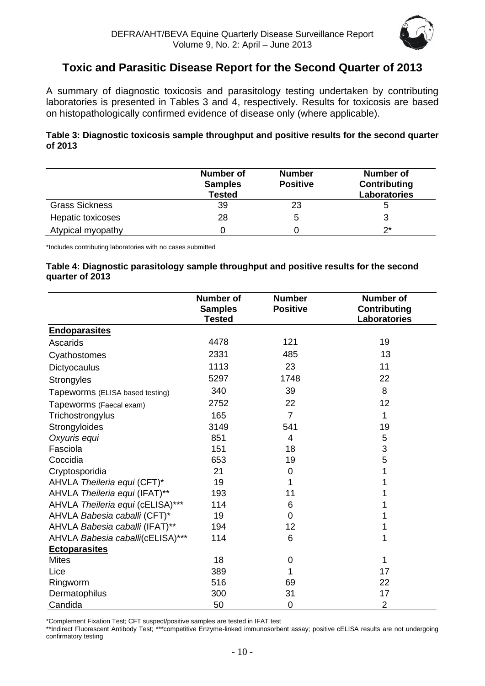

# **Toxic and Parasitic Disease Report for the Second Quarter of 2013**

A summary of diagnostic toxicosis and parasitology testing undertaken by contributing laboratories is presented in Tables 3 and 4, respectively. Results for toxicosis are based on histopathologically confirmed evidence of disease only (where applicable).

#### **Table 3: Diagnostic toxicosis sample throughput and positive results for the second quarter of 2013**

|                       | <b>Number of</b><br><b>Samples</b><br><b>Tested</b> | <b>Number</b><br><b>Positive</b> | <b>Number of</b><br><b>Contributing</b><br>Laboratories |
|-----------------------|-----------------------------------------------------|----------------------------------|---------------------------------------------------------|
| <b>Grass Sickness</b> | 39                                                  | 23                               |                                                         |
| Hepatic toxicoses     | 28                                                  | 5                                |                                                         |
| Atypical myopathy     |                                                     |                                  | ク*                                                      |

\*Includes contributing laboratories with no cases submitted

#### **Table 4: Diagnostic parasitology sample throughput and positive results for the second quarter of 2013**

|                                  | <b>Number of</b><br><b>Samples</b><br><b>Tested</b> | <b>Number</b><br><b>Positive</b> | <b>Number of</b><br><b>Contributing</b><br>Laboratories |
|----------------------------------|-----------------------------------------------------|----------------------------------|---------------------------------------------------------|
| <b>Endoparasites</b>             |                                                     |                                  |                                                         |
| Ascarids                         | 4478                                                | 121                              | 19                                                      |
| Cyathostomes                     | 2331                                                | 485                              | 13                                                      |
| Dictyocaulus                     | 1113                                                | 23                               | 11                                                      |
| <b>Strongyles</b>                | 5297                                                | 1748                             | 22                                                      |
| Tapeworms (ELISA based testing)  | 340                                                 | 39                               | 8                                                       |
| Tapeworms (Faecal exam)          | 2752                                                | 22                               | 12                                                      |
| Trichostrongylus                 | 165                                                 | $\overline{7}$                   | 1                                                       |
| Strongyloides                    | 3149                                                | 541                              | 19                                                      |
| Oxyuris equi                     | 851                                                 | 4                                | 5                                                       |
| Fasciola                         | 151                                                 | 18                               | 3                                                       |
| Coccidia                         | 653                                                 | 19                               | 5                                                       |
| Cryptosporidia                   | 21                                                  | 0                                |                                                         |
| AHVLA Theileria equi (CFT)*      | 19                                                  | 1                                |                                                         |
| AHVLA Theileria equi (IFAT)**    | 193                                                 | 11                               |                                                         |
| AHVLA Theileria equi (cELISA)*** | 114                                                 | 6                                |                                                         |
| AHVLA Babesia caballi (CFT)*     | 19                                                  | 0                                |                                                         |
| AHVLA Babesia caballi (IFAT)**   | 194                                                 | 12                               |                                                         |
| AHVLA Babesia caballi(cELISA)*** | 114                                                 | 6                                |                                                         |
| <b>Ectoparasites</b>             |                                                     |                                  |                                                         |
| <b>Mites</b>                     | 18                                                  | 0                                |                                                         |
| Lice                             | 389                                                 | 1                                | 17                                                      |
| Ringworm                         | 516                                                 | 69                               | 22                                                      |
| Dermatophilus                    | 300                                                 | 31                               | 17                                                      |
| Candida                          | 50                                                  | $\mathbf 0$                      | $\overline{2}$                                          |

\*Complement Fixation Test; CFT suspect/positive samples are tested in IFAT test

\*\*Indirect Fluorescent Antibody Test; \*\*\*competitive Enzyme-linked immunosorbent assay; positive cELISA results are not undergoing confirmatory testing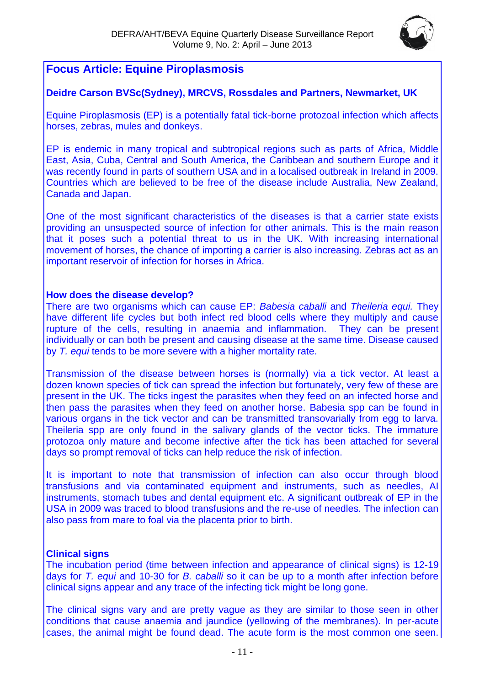

# **Focus Article: Equine Piroplasmosis**

# **Deidre Carson BVSc(Sydney), MRCVS, Rossdales and Partners, Newmarket, UK**

Equine Piroplasmosis (EP) is a potentially fatal tick-borne protozoal infection which affects horses, zebras, mules and donkeys.

EP is endemic in many tropical and subtropical regions such as parts of Africa, Middle East, Asia, Cuba, Central and South America, the Caribbean and southern Europe and it was recently found in parts of southern USA and in a localised outbreak in Ireland in 2009. Countries which are believed to be free of the disease include Australia, New Zealand, Canada and Japan.

One of the most significant characteristics of the diseases is that a carrier state exists providing an unsuspected source of infection for other animals. This is the main reason that it poses such a potential threat to us in the UK. With increasing international movement of horses, the chance of importing a carrier is also increasing. Zebras act as an important reservoir of infection for horses in Africa.

#### **How does the disease develop?**

There are two organisms which can cause EP: *Babesia caballi* and *Theileria equi.* They have different life cycles but both infect red blood cells where they multiply and cause rupture of the cells, resulting in anaemia and inflammation. They can be present individually or can both be present and causing disease at the same time. Disease caused by *T. equi* tends to be more severe with a higher mortality rate.

Transmission of the disease between horses is (normally) via a tick vector. At least a dozen known species of tick can spread the infection but fortunately, very few of these are present in the UK. The ticks ingest the parasites when they feed on an infected horse and then pass the parasites when they feed on another horse. Babesia spp can be found in various organs in the tick vector and can be transmitted transovarially from egg to larva. Theileria spp are only found in the salivary glands of the vector ticks. The immature protozoa only mature and become infective after the tick has been attached for several days so prompt removal of ticks can help reduce the risk of infection.

It is important to note that transmission of infection can also occur through blood transfusions and via contaminated equipment and instruments, such as needles, AI instruments, stomach tubes and dental equipment etc. A significant outbreak of EP in the USA in 2009 was traced to blood transfusions and the re-use of needles. The infection can also pass from mare to foal via the placenta prior to birth.

# **Clinical signs**

The incubation period (time between infection and appearance of clinical signs) is 12-19 days for *T. equi* and 10-30 for *B. caballi* so it can be up to a month after infection before clinical signs appear and any trace of the infecting tick might be long gone.

The clinical signs vary and are pretty vague as they are similar to those seen in other conditions that cause anaemia and jaundice (yellowing of the membranes). In per-acute cases, the animal might be found dead. The acute form is the most common one seen.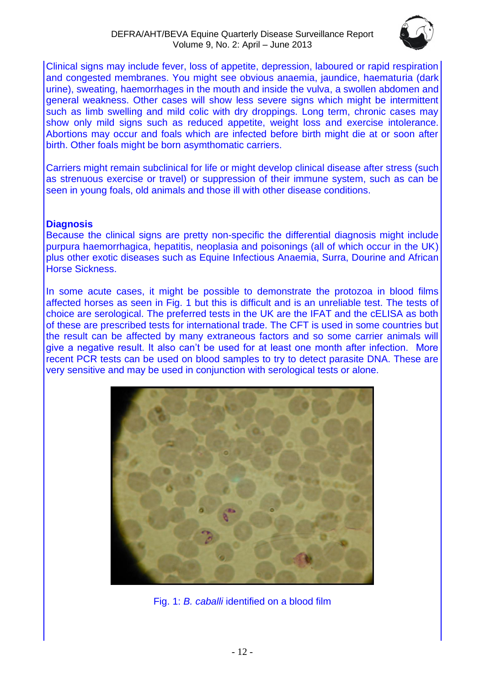

Clinical signs may include fever, loss of appetite, depression, laboured or rapid respiration and congested membranes. You might see obvious anaemia, jaundice, haematuria (dark urine), sweating, haemorrhages in the mouth and inside the vulva, a swollen abdomen and general weakness. Other cases will show less severe signs which might be intermittent such as limb swelling and mild colic with dry droppings. Long term, chronic cases may show only mild signs such as reduced appetite, weight loss and exercise intolerance. Abortions may occur and foals which are infected before birth might die at or soon after birth. Other foals might be born asymthomatic carriers.

Carriers might remain subclinical for life or might develop clinical disease after stress (such as strenuous exercise or travel) or suppression of their immune system, such as can be seen in young foals, old animals and those ill with other disease conditions.

#### **Diagnosis**

Because the clinical signs are pretty non-specific the differential diagnosis might include purpura haemorrhagica, hepatitis, neoplasia and poisonings (all of which occur in the UK) plus other exotic diseases such as Equine Infectious Anaemia, Surra, Dourine and African Horse Sickness.

In some acute cases, it might be possible to demonstrate the protozoa in blood films affected horses as seen in Fig. 1 but this is difficult and is an unreliable test. The tests of choice are serological. The preferred tests in the UK are the IFAT and the cELISA as both of these are prescribed tests for international trade. The CFT is used in some countries but the result can be affected by many extraneous factors and so some carrier animals will give a negative result. It also can't be used for at least one month after infection. More recent PCR tests can be used on blood samples to try to detect parasite DNA. These are very sensitive and may be used in conjunction with serological tests or alone.



Fig. 1: *B. caballi* identified on a blood film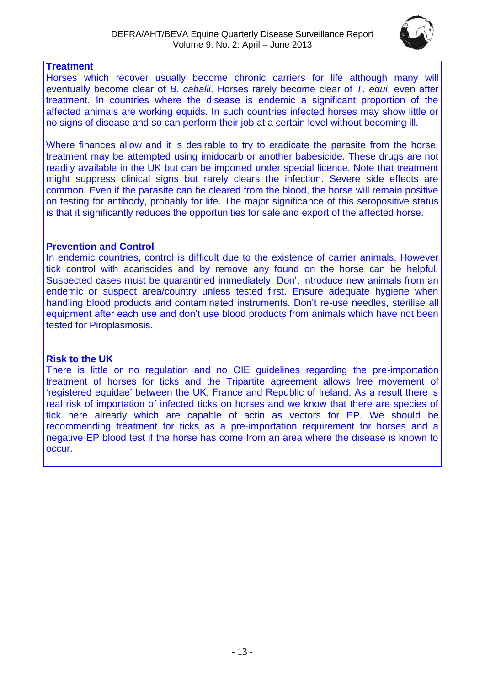

# **Treatment**

Horses which recover usually become chronic carriers for life although many will eventually become clear of *B. caballi*. Horses rarely become clear of *T. equi*, even after treatment. In countries where the disease is endemic a significant proportion of the affected animals are working equids. In such countries infected horses may show little or no signs of disease and so can perform their job at a certain level without becoming ill.

Where finances allow and it is desirable to try to eradicate the parasite from the horse, treatment may be attempted using imidocarb or another babesicide. These drugs are not readily available in the UK but can be imported under special licence. Note that treatment might suppress clinical signs but rarely clears the infection. Severe side effects are common. Even if the parasite can be cleared from the blood, the horse will remain positive on testing for antibody, probably for life. The major significance of this seropositive status is that it significantly reduces the opportunities for sale and export of the affected horse.

## **Prevention and Control**

In endemic countries, control is difficult due to the existence of carrier animals. However tick control with acariscides and by remove any found on the horse can be helpful. Suspected cases must be quarantined immediately. Don't introduce new animals from an endemic or suspect area/country unless tested first. Ensure adequate hygiene when handling blood products and contaminated instruments. Don't re-use needles, sterilise all equipment after each use and don't use blood products from animals which have not been tested for Piroplasmosis.

# **Risk to the UK**

There is little or no regulation and no OIE guidelines regarding the pre-importation treatment of horses for ticks and the Tripartite agreement allows free movement of 'registered equidae' between the UK, France and Republic of Ireland. As a result there is real risk of importation of infected ticks on horses and we know that there are species of tick here already which are capable of actin as vectors for EP. We should be recommending treatment for ticks as a pre-importation requirement for horses and a negative EP blood test if the horse has come from an area where the disease is known to occur.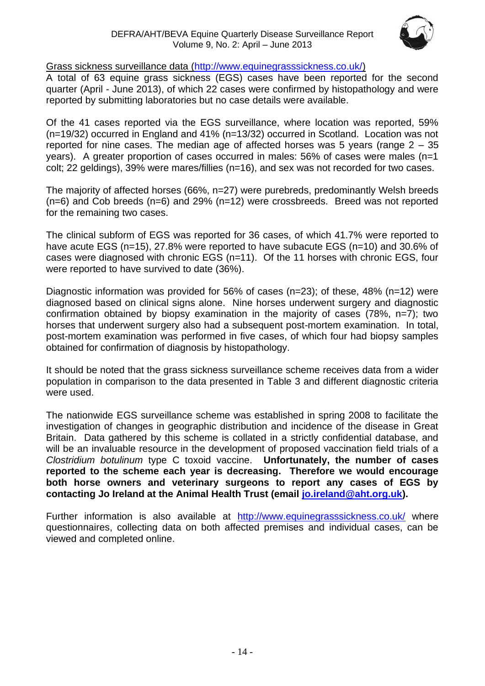

## Grass sickness surveillance data [\(http://www.equinegrasssickness.co.uk/\)](http://www.equinegrasssickness.co.uk/)

A total of 63 equine grass sickness (EGS) cases have been reported for the second quarter (April - June 2013), of which 22 cases were confirmed by histopathology and were reported by submitting laboratories but no case details were available.

Of the 41 cases reported via the EGS surveillance, where location was reported, 59% (n=19/32) occurred in England and 41% (n=13/32) occurred in Scotland. Location was not reported for nine cases. The median age of affected horses was 5 years (range 2 – 35 years). A greater proportion of cases occurred in males: 56% of cases were males (n=1 colt; 22 geldings), 39% were mares/fillies (n=16), and sex was not recorded for two cases.

The majority of affected horses (66%, n=27) were purebreds, predominantly Welsh breeds  $(n=6)$  and Cob breeds  $(n=6)$  and 29%  $(n=12)$  were crossbreeds. Breed was not reported for the remaining two cases.

The clinical subform of EGS was reported for 36 cases, of which 41.7% were reported to have acute EGS (n=15), 27.8% were reported to have subacute EGS (n=10) and 30.6% of cases were diagnosed with chronic EGS (n=11). Of the 11 horses with chronic EGS, four were reported to have survived to date (36%).

Diagnostic information was provided for 56% of cases (n=23); of these, 48% (n=12) were diagnosed based on clinical signs alone. Nine horses underwent surgery and diagnostic confirmation obtained by biopsy examination in the majority of cases (78%, n=7); two horses that underwent surgery also had a subsequent post-mortem examination. In total, post-mortem examination was performed in five cases, of which four had biopsy samples obtained for confirmation of diagnosis by histopathology.

It should be noted that the grass sickness surveillance scheme receives data from a wider population in comparison to the data presented in Table 3 and different diagnostic criteria were used.

The nationwide EGS surveillance scheme was established in spring 2008 to facilitate the investigation of changes in geographic distribution and incidence of the disease in Great Britain. Data gathered by this scheme is collated in a strictly confidential database, and will be an invaluable resource in the development of proposed vaccination field trials of a *Clostridium botulinum* type C toxoid vaccine. **Unfortunately, the number of cases reported to the scheme each year is decreasing. Therefore we would encourage both horse owners and veterinary surgeons to report any cases of EGS by contacting Jo Ireland at the Animal Health Trust (email [jo.ireland@aht.org.uk\)](mailto:jo.ireland@aht.org.uk).**

Further information is also available at <http://www.equinegrasssickness.co.uk/> where questionnaires, collecting data on both affected premises and individual cases, can be viewed and completed online.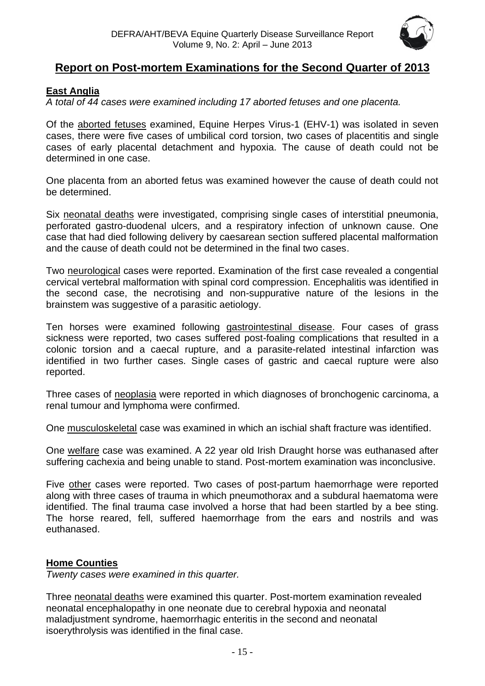

# **Report on Post-mortem Examinations for the Second Quarter of 2013**

## <span id="page-14-0"></span>**East Anglia**

*A total of 44 cases were examined including 17 aborted fetuses and one placenta.*

Of the aborted fetuses examined, Equine Herpes Virus-1 (EHV-1) was isolated in seven cases, there were five cases of umbilical cord torsion, two cases of placentitis and single cases of early placental detachment and hypoxia. The cause of death could not be determined in one case.

One placenta from an aborted fetus was examined however the cause of death could not be determined.

Six neonatal deaths were investigated, comprising single cases of interstitial pneumonia, perforated gastro-duodenal ulcers, and a respiratory infection of unknown cause. One case that had died following delivery by caesarean section suffered placental malformation and the cause of death could not be determined in the final two cases.

Two neurological cases were reported. Examination of the first case revealed a congential cervical vertebral malformation with spinal cord compression. Encephalitis was identified in the second case, the necrotising and non-suppurative nature of the lesions in the brainstem was suggestive of a parasitic aetiology.

Ten horses were examined following gastrointestinal disease. Four cases of grass sickness were reported, two cases suffered post-foaling complications that resulted in a colonic torsion and a caecal rupture, and a parasite-related intestinal infarction was identified in two further cases. Single cases of gastric and caecal rupture were also reported.

Three cases of neoplasia were reported in which diagnoses of bronchogenic carcinoma, a renal tumour and lymphoma were confirmed.

One musculoskeletal case was examined in which an ischial shaft fracture was identified.

One welfare case was examined. A 22 year old Irish Draught horse was euthanased after suffering cachexia and being unable to stand. Post-mortem examination was inconclusive.

Five other cases were reported. Two cases of post-partum haemorrhage were reported along with three cases of trauma in which pneumothorax and a subdural haematoma were identified. The final trauma case involved a horse that had been startled by a bee sting. The horse reared, fell, suffered haemorrhage from the ears and nostrils and was euthanased.

# <span id="page-14-1"></span>**Home Counties**

*Twenty cases were examined in this quarter.*

Three neonatal deaths were examined this quarter. Post-mortem examination revealed neonatal encephalopathy in one neonate due to cerebral hypoxia and neonatal maladjustment syndrome, haemorrhagic enteritis in the second and neonatal isoerythrolysis was identified in the final case.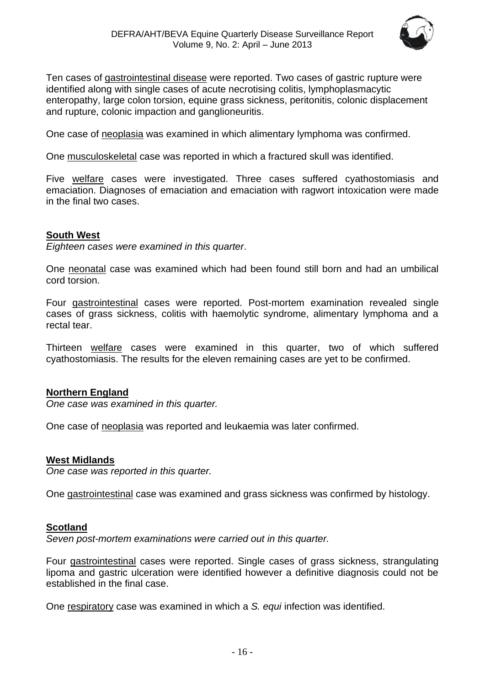

Ten cases of gastrointestinal disease were reported. Two cases of gastric rupture were identified along with single cases of acute necrotising colitis, lymphoplasmacytic enteropathy, large colon torsion, equine grass sickness, peritonitis, colonic displacement and rupture, colonic impaction and ganglioneuritis.

One case of neoplasia was examined in which alimentary lymphoma was confirmed.

One musculoskeletal case was reported in which a fractured skull was identified.

Five welfare cases were investigated. Three cases suffered cyathostomiasis and emaciation. Diagnoses of emaciation and emaciation with ragwort intoxication were made in the final two cases.

#### <span id="page-15-0"></span>**South West**

*Eighteen cases were examined in this quarter*.

One neonatal case was examined which had been found still born and had an umbilical cord torsion.

Four gastrointestinal cases were reported. Post-mortem examination revealed single cases of grass sickness, colitis with haemolytic syndrome, alimentary lymphoma and a rectal tear.

Thirteen welfare cases were examined in this quarter, two of which suffered cyathostomiasis. The results for the eleven remaining cases are yet to be confirmed.

#### <span id="page-15-1"></span>**Northern England**

*One case was examined in this quarter.*

One case of neoplasia was reported and leukaemia was later confirmed.

#### **West Midlands**

*One case was reported in this quarter.*

One gastrointestinal case was examined and grass sickness was confirmed by histology.

#### <span id="page-15-2"></span>**Scotland**

*Seven post-mortem examinations were carried out in this quarter.*

Four gastrointestinal cases were reported. Single cases of grass sickness, strangulating lipoma and gastric ulceration were identified however a definitive diagnosis could not be established in the final case.

One respiratory case was examined in which a *S. equi* infection was identified.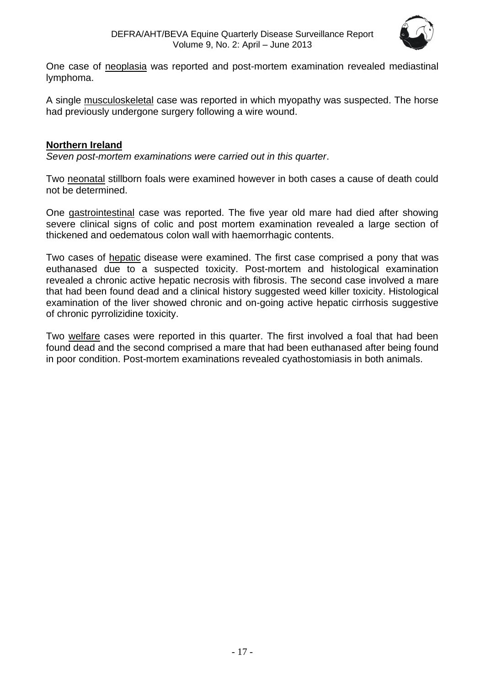

One case of neoplasia was reported and post-mortem examination revealed mediastinal lymphoma.

A single musculoskeletal case was reported in which myopathy was suspected. The horse had previously undergone surgery following a wire wound.

## <span id="page-16-0"></span>**Northern Ireland**

*Seven post-mortem examinations were carried out in this quarter*.

Two neonatal stillborn foals were examined however in both cases a cause of death could not be determined.

One gastrointestinal case was reported. The five year old mare had died after showing severe clinical signs of colic and post mortem examination revealed a large section of thickened and oedematous colon wall with haemorrhagic contents.

Two cases of hepatic disease were examined. The first case comprised a pony that was euthanased due to a suspected toxicity. Post-mortem and histological examination revealed a chronic active hepatic necrosis with fibrosis. The second case involved a mare that had been found dead and a clinical history suggested weed killer toxicity. Histological examination of the liver showed chronic and on-going active hepatic cirrhosis suggestive of chronic pyrrolizidine toxicity.

Two welfare cases were reported in this quarter. The first involved a foal that had been found dead and the second comprised a mare that had been euthanased after being found in poor condition. Post-mortem examinations revealed cyathostomiasis in both animals.